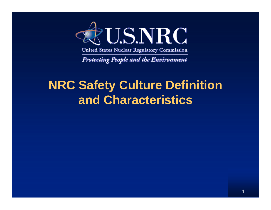

United States Nuclear Regulatory Commission

**Protecting People and the Environment** 

#### **NRC Safety Culture Definition and Characteristics**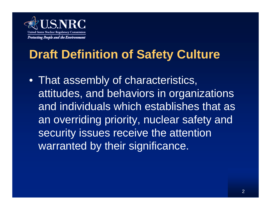

## **Draft Definition of Safety Culture**

• That assembly of characteristics, attitudes, and behaviors in organizations and individuals which establishes that as an overriding priority, nuclear safety and security issues receive the attention warranted by their significance.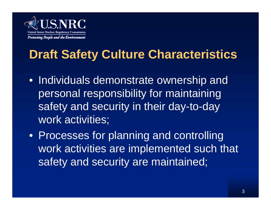

# **Draft Safety Culture Characteristics**

- Individuals demonstrate ownership and personal responsibility for maintaining safety and security in their day-to-day work activities;
- Processes for planning and controlling work activities are implemented such that safety and security are maintained;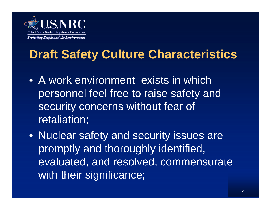

## **Draft Safety Culture Characteristics**

- A work environment exists in which personnel feel free to raise safety and security concerns without fear of retaliation;
- Nuclear safety and security issues are promptly and thoroughly identified, evaluated, and resolved, commensurate with their significance;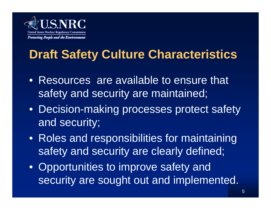

# **Draft Safety Culture Characteristics**

- Resources are available to ensure that safety and security are maintained;
- Decision-making processes protect safety and security;
- Roles and responsibilities for maintaining safety and security are clearly defined;
- Opportunities to improve safety and security are sought out and implemented.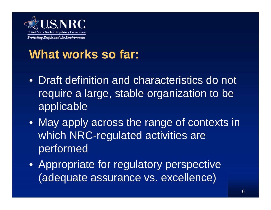

### **What works so far:**

- Draft definition and characteristics do not require a large, stable organization to be applicable
- May apply across the range of contexts in which NRC-regulated activities are performed
- Appropriate for regulatory perspective (adequate assurance vs. excellence)